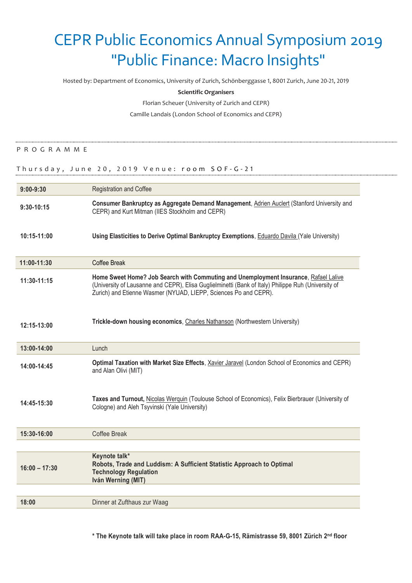# CEPR Public Economics Annual Symposium 2019 "Public Finance: Macro Insights"

Hosted by: Department of Economics, University of Zurich, Schönberggasse 1, 8001 Zurich, June 20-21, 2019

### **Scientific Organisers**

Florian Scheuer (University of Zurich and CEPR)

Camille Landais (London School of Economics and CEPR)

## P R O G R A M M E

## Thursday, June 20, 2019 Venue: room SOF-G-21

| $9:00 - 9:30$   | <b>Registration and Coffee</b>                                                                                                                                                                                                                                  |
|-----------------|-----------------------------------------------------------------------------------------------------------------------------------------------------------------------------------------------------------------------------------------------------------------|
| $9:30 - 10:15$  | Consumer Bankruptcy as Aggregate Demand Management, Adrien Auclert (Stanford University and<br>CEPR) and Kurt Mitman (IIES Stockholm and CEPR)                                                                                                                  |
| $10:15 - 11:00$ | Using Elasticities to Derive Optimal Bankruptcy Exemptions, Eduardo Davila (Yale University)                                                                                                                                                                    |
| 11:00-11:30     | Coffee Break                                                                                                                                                                                                                                                    |
| 11:30-11:15     | Home Sweet Home? Job Search with Commuting and Unemployment Insurance, Rafael Lalive<br>(University of Lausanne and CEPR), Elisa Guglielminetti (Bank of Italy) Philippe Ruh (University of<br>Zurich) and Etienne Wasmer (NYUAD, LIEPP, Sciences Po and CEPR). |
| 12:15-13:00     | Trickle-down housing economics, Charles Nathanson (Northwestern University)                                                                                                                                                                                     |
| 13:00-14:00     | Lunch                                                                                                                                                                                                                                                           |
| 14:00-14:45     | Optimal Taxation with Market Size Effects, Xavier Jaravel (London School of Economics and CEPR)<br>and Alan Olivi (MIT)                                                                                                                                         |
| 14:45-15:30     | Taxes and Turnout, Nicolas Werguin (Toulouse School of Economics), Felix Bierbrauer (University of<br>Cologne) and Aleh Tsyvinski (Yale University)                                                                                                             |
| 15:30-16:00     | <b>Coffee Break</b>                                                                                                                                                                                                                                             |
|                 |                                                                                                                                                                                                                                                                 |
| $16:00 - 17:30$ | Keynote talk*<br>Robots, Trade and Luddism: A Sufficient Statistic Approach to Optimal<br><b>Technology Regulation</b><br>Iván Werning (MIT)                                                                                                                    |
|                 |                                                                                                                                                                                                                                                                 |
| 18:00           | Dinner at Zufthaus zur Waag                                                                                                                                                                                                                                     |

**\* The Keynote talk will take place in room RAA-G-15, Rämistrasse 59, 8001 Zürich 2 nd floor**